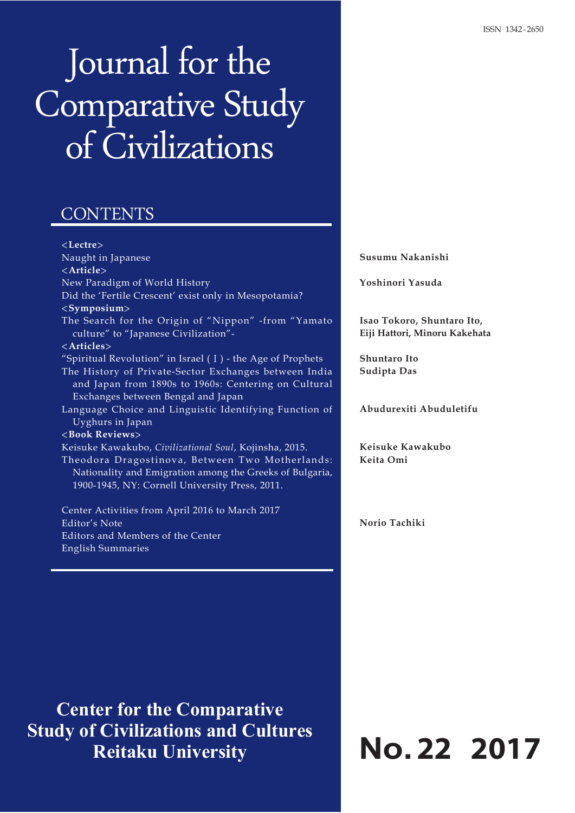# Journal for the Comparative Study of Civilizations

## **CONTENTS**

<**Lectre**> Naught in Japanese <**Article**> New Paradigm of World History Did the 'Fertile Crescent' exist only in Mesopotamia? <**Symposium**> The Search for the Origin of "Nippon" -from "Yamato culture" to "Japanese Civilization"- <**Articles**> "Spiritual Revolution" in Israel (Ⅰ) - the Age of Prophets The History of Private-Sector Exchanges between India and Japan from 1890s to 1960s: Centering on Cultural Exchanges between Bengal and Japan Language Choice and Linguistic Identifying Function of Uyghurs in Japan <**Book Reviews**> Keisuke Kawakubo, *Civilizational Soul*, Kojinsha, 2015. Theodora Dragostinova, Between Two Motherlands: Nationality and Emigration among the Greeks of Bulgaria, 1900-1945, NY: Cornell University Press, 2011.

Center Activities from April 2016 to March 2017 Editor's Note Editors and Members of the Center English Summaries

**Center for the Comparative Study of Civilizations and Cultures Reitaku University**

**Susumu Nakanishi**

**Yoshinori Yasuda**

**Isao Tokoro, Shuntaro Ito, Eiji Hattori, Minoru Kakehata**

**Shuntaro Ito Sudipta Das**

**Abudurexiti Abuduletifu**

**Keisuke Kawakubo Keita Omi**

**Norio Tachiki**

# **No.22 2017**